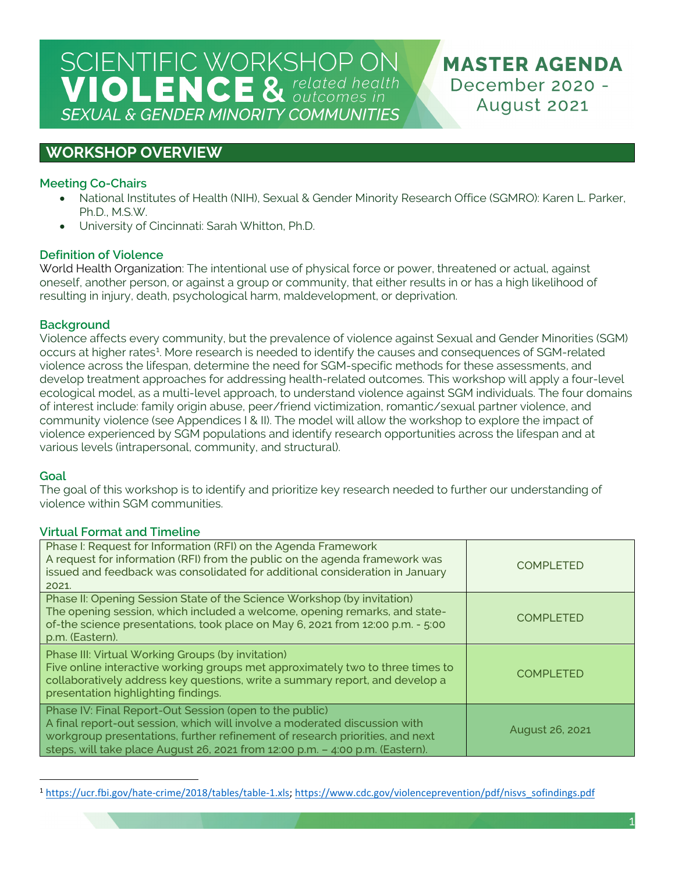**MASTER AGENDA** December 2020 -August 2021

## **WORKSHOP OVERVIEW**

## **Meeting Co-Chairs**

- National Institutes of Health (NIH), Sexual & Gender Minority Research Office (SGMRO): Karen L. Parker, Ph.D., M.S.W.
- University of Cincinnati: Sarah Whitton, Ph.D.

## **Definition of Violence**

World Health Organization: The intentional use of physical force or power, threatened or actual, against oneself, another person, or against a group or community, that either results in or has a high likelihood of resulting in injury, death, psychological harm, maldevelopment, or deprivation.

## **Background**

Violence affects every community, but the prevalence of violence against Sexual and Gender Minorities (SGM) occurs at higher rates<sup>[1](#page-0-0)</sup>. More research is needed to identify the causes and consequences of SGM-related violence across the lifespan, determine the need for SGM-specific methods for these assessments, and develop treatment approaches for addressing health-related outcomes. This workshop will apply a four-level ecological model, as a multi-level approach, to understand violence against SGM individuals. The four domains of interest include: family origin abuse, peer/friend victimization, romantic/sexual partner violence, and community violence (see Appendices I & II). The model will allow the workshop to explore the impact of violence experienced by SGM populations and identify research opportunities across the lifespan and at various levels (intrapersonal, community, and structural).

## **Goal**

The goal of this workshop is to identify and prioritize key research needed to further our understanding of violence within SGM communities.

## **Virtual Format and Timeline**

| Phase I: Request for Information (RFI) on the Agenda Framework<br>A request for information (RFI) from the public on the agenda framework was<br>issued and feedback was consolidated for additional consideration in January<br>2021.                                                                 | <b>COMPLETED</b> |
|--------------------------------------------------------------------------------------------------------------------------------------------------------------------------------------------------------------------------------------------------------------------------------------------------------|------------------|
| Phase II: Opening Session State of the Science Workshop (by invitation)<br>The opening session, which included a welcome, opening remarks, and state-<br>of-the science presentations, took place on May 6, 2021 from 12:00 p.m. - 5:00<br>p.m. (Eastern).                                             | <b>COMPLETED</b> |
| Phase III: Virtual Working Groups (by invitation)<br>Five online interactive working groups met approximately two to three times to<br>collaboratively address key questions, write a summary report, and develop a<br>presentation highlighting findings.                                             | <b>COMPLETED</b> |
| Phase IV: Final Report-Out Session (open to the public)<br>A final report-out session, which will involve a moderated discussion with<br>workgroup presentations, further refinement of research priorities, and next<br>steps, will take place August 26, 2021 from 12:00 p.m. - 4:00 p.m. (Eastern). | August 26, 2021  |

<span id="page-0-0"></span><sup>1</sup> [https://ucr.fbi.gov/hate-crime/2018/tables/table-1.xls;](https://ucr.fbi.gov/hate-crime/2018/tables/table-1.xls) [https://www.cdc.gov/violenceprevention/pdf/nisvs\\_sofindings.pdf](https://www.cdc.gov/violenceprevention/pdf/nisvs_sofindings.pdf)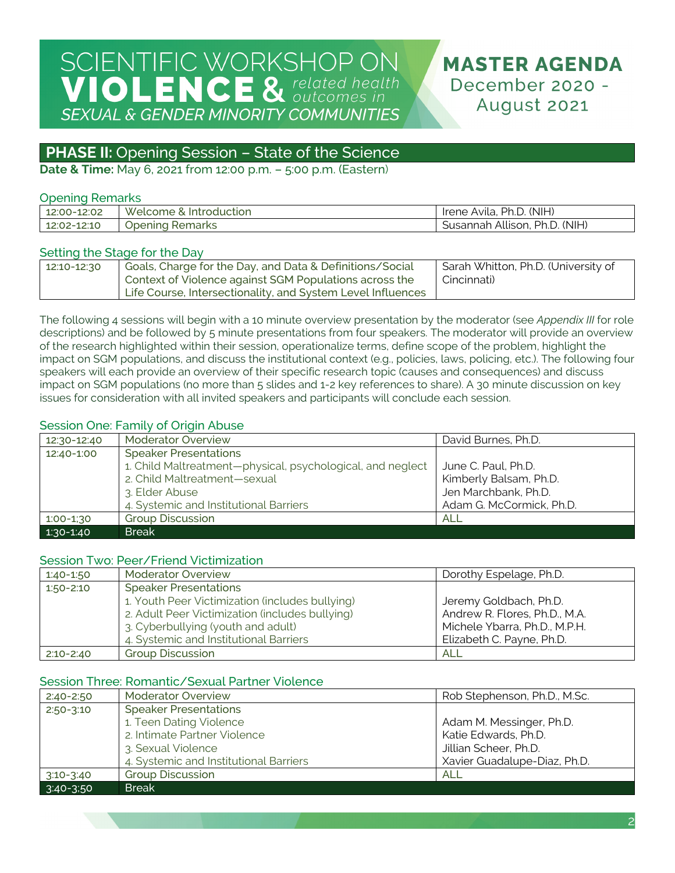## **MASTER AGENDA** December 2020 -August 2021

## **PHASE II:** Opening Session - State of the Science

**Date & Time:** May 6, 2021 from 12:00 p.m. – 5:00 p.m. (Eastern)

### Opening Remarks

|             | Welcome,           | Ph.D. (NIH)                        |
|-------------|--------------------|------------------------------------|
| 12:00-12:02 | ا & Introduction   | Irene Avila,                       |
| 12:02-12:10 | Opening<br>Remarks | Susannah Allison, Ph.D.<br>. (NIH) |

### Setting the Stage for the Day

| 12:10-12:30 | Goals, Charge for the Day, and Data & Definitions/Social    | Sarah Whitton, Ph.D. (University of |
|-------------|-------------------------------------------------------------|-------------------------------------|
|             | Context of Violence against SGM Populations across the      | Cincinnati)                         |
|             | Life Course, Intersectionality, and System Level Influences |                                     |

The following 4 sessions will begin with a 10 minute overview presentation by the moderator (see *Appendix III* for role descriptions) and be followed by 5 minute presentations from four speakers. The moderator will provide an overview of the research highlighted within their session, operationalize terms, define scope of the problem, highlight the impact on SGM populations, and discuss the institutional context (e.g., policies, laws, policing, etc.). The following four speakers will each provide an overview of their specific research topic (causes and consequences) and discuss impact on SGM populations (no more than 5 slides and 1-2 key references to share). A 30 minute discussion on key issues for consideration with all invited speakers and participants will conclude each session.

### Session One: Family of Origin Abuse

| 12:30-12:40 | <b>Moderator Overview</b>                                  | David Burnes, Ph.D.      |
|-------------|------------------------------------------------------------|--------------------------|
| 12:40-1:00  | <b>Speaker Presentations</b>                               |                          |
|             | 1. Child Maltreatment-physical, psychological, and neglect | June C. Paul, Ph.D.      |
|             | 2. Child Maltreatment-sexual                               | Kimberly Balsam, Ph.D.   |
|             | 3. Elder Abuse                                             | Jen Marchbank, Ph.D.     |
|             | 4. Systemic and Institutional Barriers                     | Adam G. McCormick, Ph.D. |
| $1:00-1:30$ | <b>Group Discussion</b>                                    | <b>ALL</b>               |
| $1:30-1:40$ | <b>Break</b>                                               |                          |

#### Session Two: Peer/Friend Victimization

| 1:40-1:50     | <b>Moderator Overview</b>                       | Dorothy Espelage, Ph.D.       |
|---------------|-------------------------------------------------|-------------------------------|
| $1:50 - 2:10$ | <b>Speaker Presentations</b>                    |                               |
|               | 1. Youth Peer Victimization (includes bullying) | Jeremy Goldbach, Ph.D.        |
|               | 2. Adult Peer Victimization (includes bullying) | Andrew R. Flores, Ph.D., M.A. |
|               | 3. Cyberbullying (youth and adult)              | Michele Ybarra, Ph.D., M.P.H. |
|               | 4. Systemic and Institutional Barriers          | Elizabeth C. Payne, Ph.D.     |
| $2:10 - 2:40$ | <b>Group Discussion</b>                         | ALL                           |

## Session Three: Romantic/Sexual Partner Violence

| $2:40 - 2:50$ | <b>Moderator Overview</b>              | Rob Stephenson, Ph.D., M.Sc. |
|---------------|----------------------------------------|------------------------------|
| $2:50 - 3:10$ | <b>Speaker Presentations</b>           |                              |
|               | 1. Teen Dating Violence                | Adam M. Messinger, Ph.D.     |
|               | 2. Intimate Partner Violence           | Katie Edwards, Ph.D.         |
|               | 3. Sexual Violence                     | Jillian Scheer, Ph.D.        |
|               | 4. Systemic and Institutional Barriers | Xavier Guadalupe-Diaz, Ph.D. |
| $3:10 - 3:40$ | <b>Group Discussion</b>                | ALL                          |
| $3:40-3:50$   | <b>Break</b>                           |                              |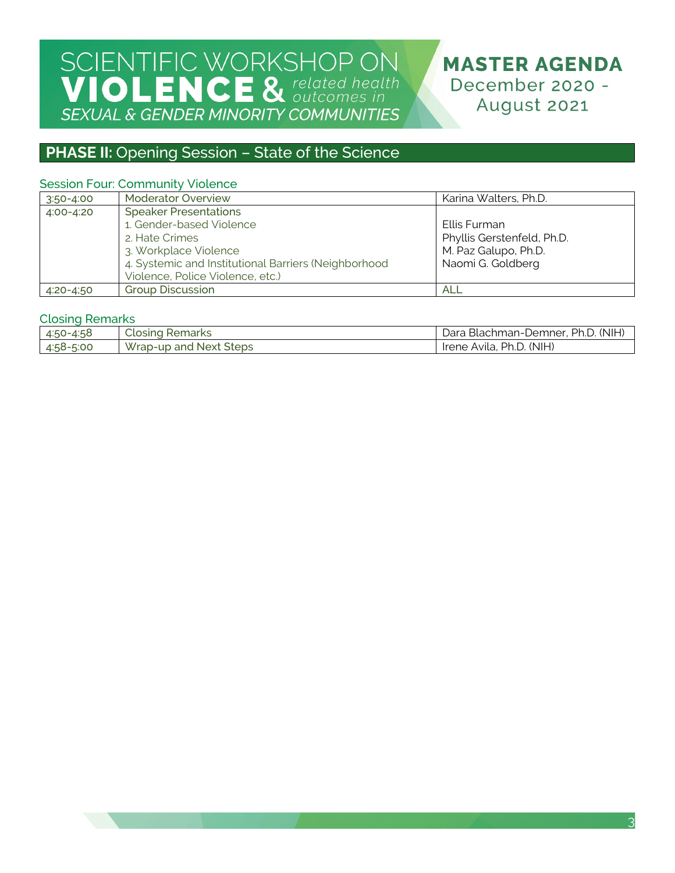## **PHASE II:** Opening Session - State of the Science

## Session Four: Community Violence

| $3:50 - 4:00$ | <b>Moderator Overview</b>                                                                                                                                                                       | Karina Walters, Ph.D.                                                                   |
|---------------|-------------------------------------------------------------------------------------------------------------------------------------------------------------------------------------------------|-----------------------------------------------------------------------------------------|
| 4:00-4:20     | <b>Speaker Presentations</b><br>1. Gender-based Violence<br>2. Hate Crimes<br>3. Workplace Violence<br>4. Systemic and Institutional Barriers (Neighborhood<br>Violence, Police Violence, etc.) | Ellis Furman<br>Phyllis Gerstenfeld, Ph.D.<br>M. Paz Galupo, Ph.D.<br>Naomi G. Goldberg |
| $4:20 - 4:50$ | <b>Group Discussion</b>                                                                                                                                                                         | ALL                                                                                     |

#### Closing Remarks

|           | Closing                | Blachman-Demner, Ph.D. (NIH) ا |
|-----------|------------------------|--------------------------------|
| 4:50-4:58 | Remarks                | Dara '                         |
| 4:58-5:00 | Wrap-up and Next Steps | Ph.D. (NIH)<br>Irene Avila,    |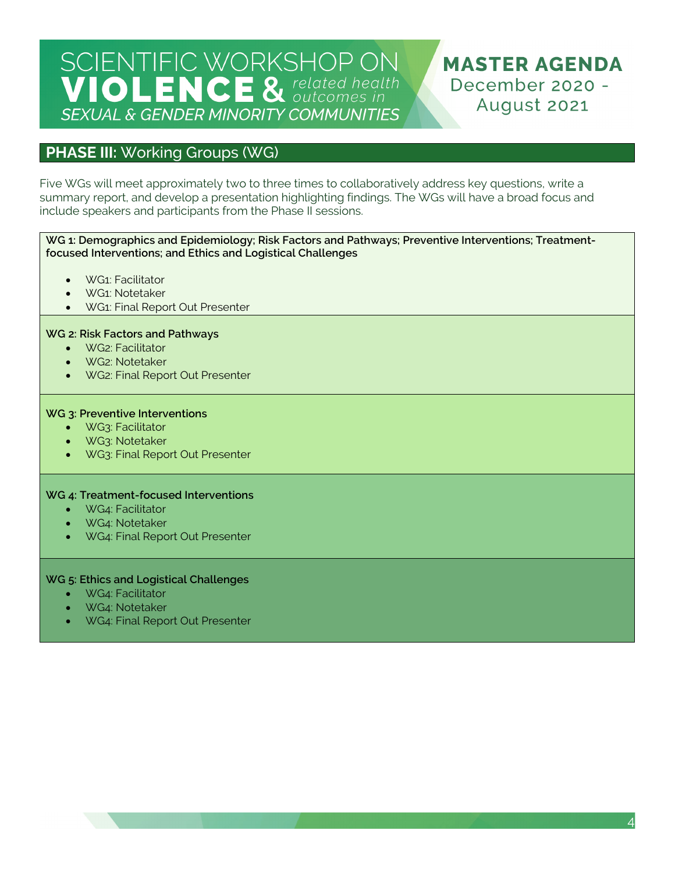**MASTER AGENDA** December 2020 -August 2021

## **PHASE III:** Working Groups (WG)

Five WGs will meet approximately two to three times to collaboratively address key questions, write a summary report, and develop a presentation highlighting findings. The WGs will have a broad focus and include speakers and participants from the Phase II sessions.

#### **WG 1: Demographics and Epidemiology; Risk Factors and Pathways; Preventive Interventions; Treatmentfocused Interventions; and Ethics and Logistical Challenges**

- WG1: Facilitator
- WG1: Notetaker
- WG1: Final Report Out Presenter

### **WG 2: Risk Factors and Pathways**

- WG2: Facilitator
- WG2: Notetaker
- WG2: Final Report Out Presenter

#### **WG 3: Preventive Interventions**

- WG3: Facilitator
- WG3: Notetaker
- WG3: Final Report Out Presenter

#### **WG 4: Treatment-focused Interventions**

- WG4: Facilitator
- WG4: Notetaker
- WG4: Final Report Out Presenter

#### **WG 5: Ethics and Logistical Challenges**

- WG4: Facilitator
- WG4: Notetaker
- WG4: Final Report Out Presenter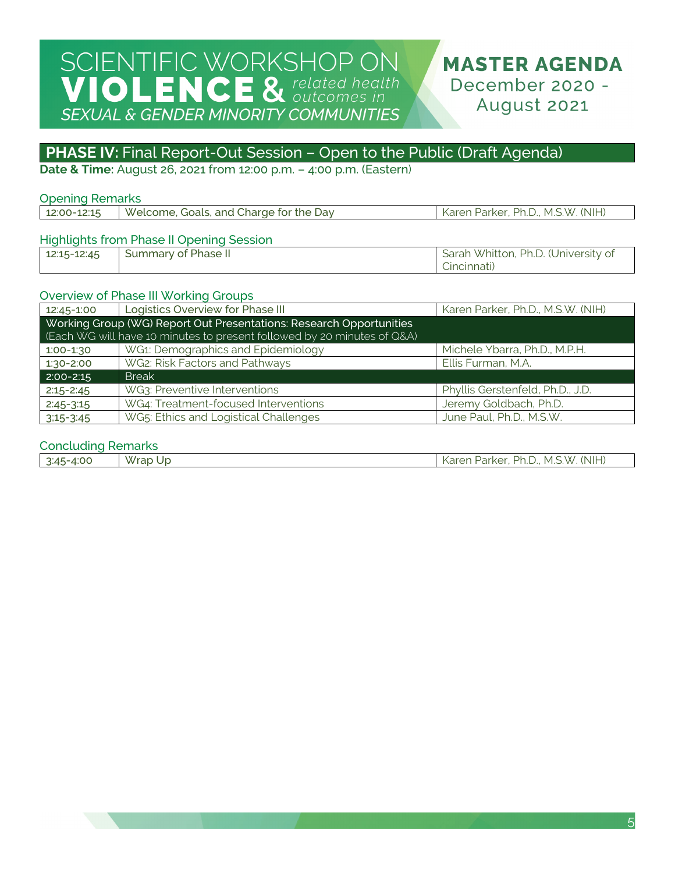## **PHASE IV:** Final Report-Out Session - Open to the Public (Draft Agenda)

**Date & Time:** August 26, 2021 from 12:00 p.m. – 4:00 p.m. (Eastern)

### Opening Remarks

| 4.714.5<br>.00-<br>---- | $\overline{M}$<br>and<br>Jav<br>*he<br>Charde 1<br>. JOALS<br>AXZ.<br>$\sim$<br>ome | (NIH<br>אר<br>M<br>$\sqrt{r}$<br>X<br>r 12<br>$\sim$ |
|-------------------------|-------------------------------------------------------------------------------------|------------------------------------------------------|
|                         |                                                                                     |                                                      |

## Highlights from Phase II Opening Session

| 12:15-12:45 | Summary of Phase II | Sarah Whitton, Ph.D. (University of |
|-------------|---------------------|-------------------------------------|
|             |                     | Cincinnati)                         |

### Overview of Phase III Working Groups

| 12:45-1:00    | Logistics Overview for Phase III                                        | Karen Parker, Ph.D., M.S.W. (NIH) |  |
|---------------|-------------------------------------------------------------------------|-----------------------------------|--|
|               | Working Group (WG) Report Out Presentations: Research Opportunities     |                                   |  |
|               | (Each WG will have 10 minutes to present followed by 20 minutes of Q&A) |                                   |  |
| $1:00-1:30$   | WG1: Demographics and Epidemiology                                      | Michele Ybarra, Ph.D., M.P.H.     |  |
| $1:30 - 2:00$ | WG2: Risk Factors and Pathways                                          | Ellis Furman, M.A.                |  |
| $2:00 - 2:15$ | <b>Break</b>                                                            |                                   |  |
| $2:15 - 2:45$ | WG3: Preventive Interventions                                           | Phyllis Gerstenfeld, Ph.D., J.D.  |  |
| $2:45-3:15$   | WG4: Treatment-focused Interventions                                    | Jeremy Goldbach, Ph.D.            |  |
| $3:15-3:45$   | WG5: Ethics and Logistical Challenges                                   | June Paul, Ph.D., M.S.W.          |  |

### Concluding Remarks

| 4:00<br>$3:45-4$ | $\overline{M}$<br>Wrap<br>-Up | $\cdot$ Ph.D.,<br>. (NIH)<br>. M.S.W.<br>Parker.<br>$\frac{1}{2}$<br>ndi.<br>$\sim$ |
|------------------|-------------------------------|-------------------------------------------------------------------------------------|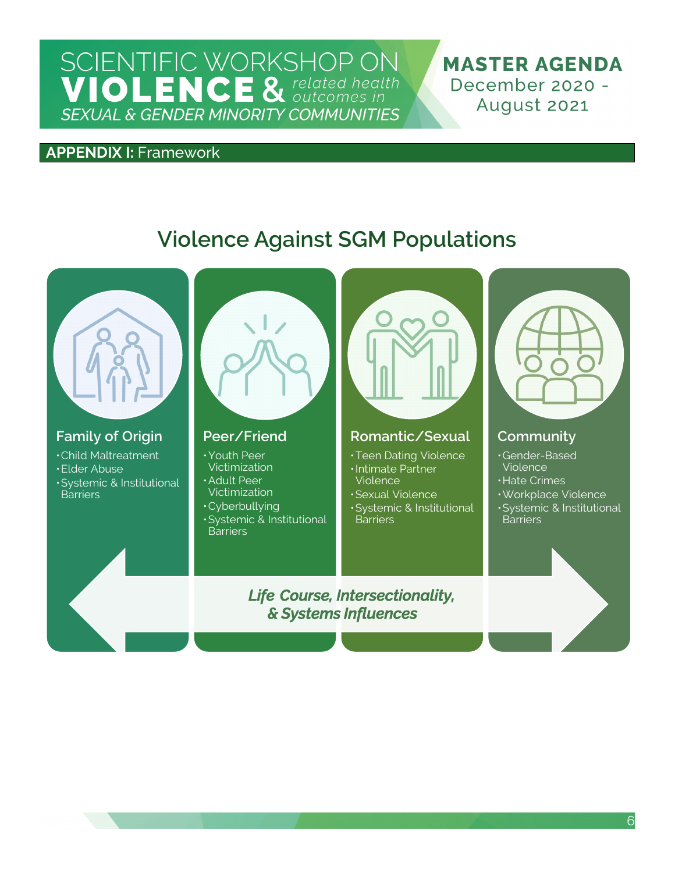**MASTER AGENDA** December 2020 -August 2021

## **APPENDIX I:** Framework

## **Violence Against SGM Populations**



*& Systems Influences*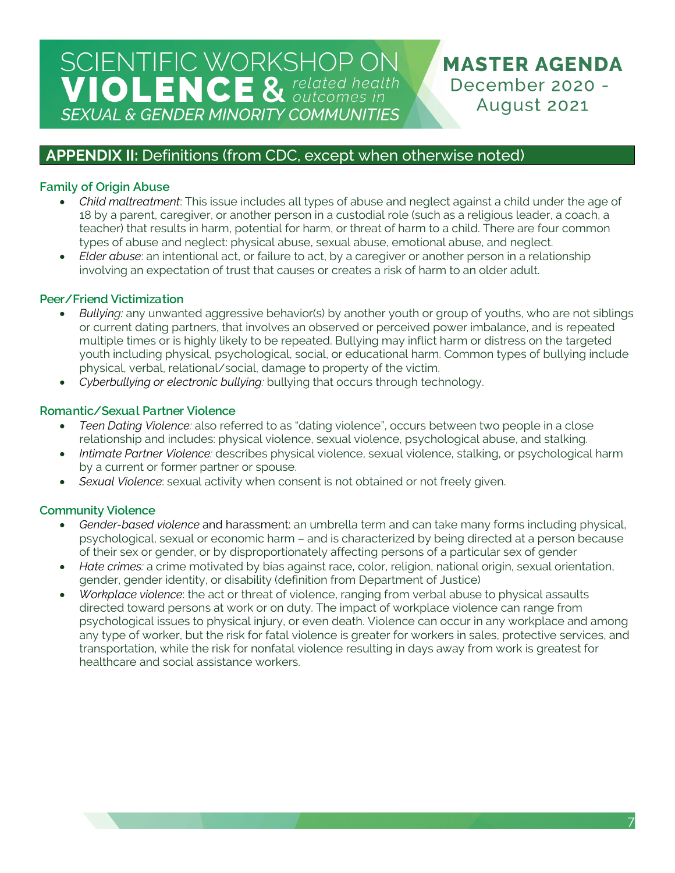**MASTER AGENDA** December 2020 -August 2021

## **APPENDIX II:** Definitions (from CDC, except when otherwise noted)

## **Family of Origin Abuse**

- *Child maltreatment*: This issue includes all types of abuse and neglect against a child under the age of 18 by a parent, caregiver, or another person in a custodial role (such as a religious leader, a coach, a teacher) that results in harm, potential for harm, or threat of harm to a child. There are four common types of abuse and neglect: physical abuse, sexual abuse, emotional abuse, and neglect.
- *Elder abuse*: an intentional act, or failure to act, by a caregiver or another person in a relationship involving an expectation of trust that causes or creates a risk of harm to an older adult.

## **Peer/Friend Victimization**

- *Bullying:* any unwanted aggressive behavior(s) by another youth or group of youths, who are not siblings or current dating partners, that involves an observed or perceived power imbalance, and is repeated multiple times or is highly likely to be repeated. Bullying may inflict harm or distress on the targeted youth including physical, psychological, social, or educational harm. Common types of bullying include physical, verbal, relational/social, damage to property of the victim.
- *Cyberbullying or electronic bullying:* bullying that occurs through technology.

## **Romantic/Sexual Partner Violence**

- *Teen Dating Violence:* also referred to as "dating violence", occurs between two people in a close relationship and includes: physical violence, sexual violence, psychological abuse, and stalking.
- *Intimate Partner Violence:* describes physical violence, sexual violence, stalking, or psychological harm by a current or former partner or spouse.
- *Sexual Violence*: sexual activity when consent is not obtained or not freely given.

## **Community Violence**

- *Gender-based violence* and harassment: an umbrella term and can take many forms including physical, psychological, sexual or economic harm – and is characterized by being directed at a person because of their sex or gender, or by disproportionately affecting persons of a particular sex of gender
- *Hate crimes:* a crime motivated by bias against race, color, religion, national origin, sexual orientation, gender, gender identity, or disability (definition from Department of Justice)
- *Workplace violence*: the act or threat of violence, ranging from verbal abuse to physical assaults directed toward persons at work or on duty. The impact of workplace violence can range from psychological issues to physical injury, or even death. Violence can occur in any workplace and among any type of worker, but the risk for fatal violence is greater for workers in sales, protective services, and transportation, while the risk for nonfatal violence resulting in days away from work is greatest for healthcare and social assistance workers.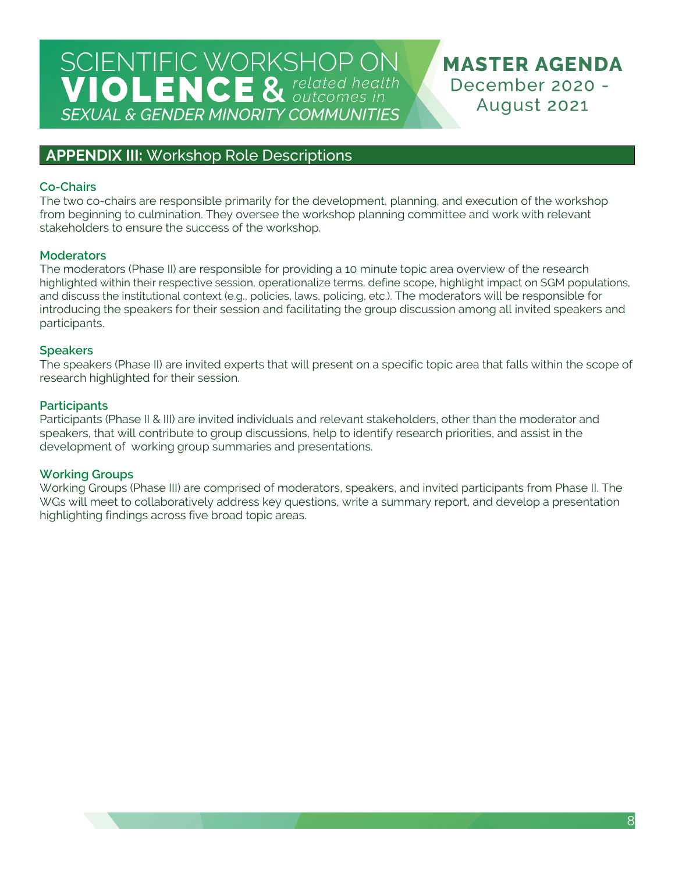**MASTER AGENDA** December 2020 -August 2021

## **APPENDIX III:** Workshop Role Descriptions

## **Co-Chairs**

The two co-chairs are responsible primarily for the development, planning, and execution of the workshop from beginning to culmination. They oversee the workshop planning committee and work with relevant stakeholders to ensure the success of the workshop.

## **Moderators**

The moderators (Phase II) are responsible for providing a 10 minute topic area overview of the research highlighted within their respective session, operationalize terms, define scope, highlight impact on SGM populations, and discuss the institutional context (e.g., policies, laws, policing, etc.). The moderators will be responsible for introducing the speakers for their session and facilitating the group discussion among all invited speakers and participants.

### **Speakers**

The speakers (Phase II) are invited experts that will present on a specific topic area that falls within the scope of research highlighted for their session.

## **Participants**

Participants (Phase II & III) are invited individuals and relevant stakeholders, other than the moderator and speakers, that will contribute to group discussions, help to identify research priorities, and assist in the development of working group summaries and presentations.

## **Working Groups**

Working Groups (Phase III) are comprised of moderators, speakers, and invited participants from Phase II. The WGs will meet to collaboratively address key questions, write a summary report, and develop a presentation highlighting findings across five broad topic areas.